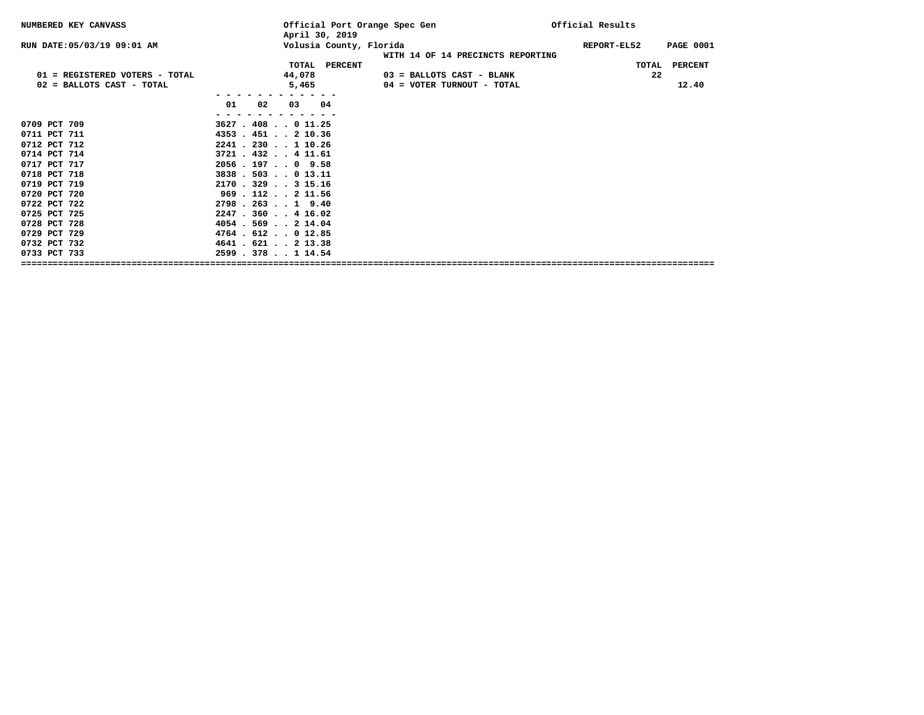| NUMBERED KEY CANVASS           |                           | Official Port Orange Spec Gen<br>April 30, 2019 |                                   | Official Results |                  |  |
|--------------------------------|---------------------------|-------------------------------------------------|-----------------------------------|------------------|------------------|--|
| RUN DATE: 05/03/19 09:01 AM    |                           | Volusia County, Florida                         | WITH 14 OF 14 PRECINCTS REPORTING | REPORT-EL52      | <b>PAGE 0001</b> |  |
|                                |                           | TOTAL PERCENT                                   |                                   | TOTAL            | PERCENT          |  |
| 01 = REGISTERED VOTERS - TOTAL |                           | 44,078                                          | 03 = BALLOTS CAST - BLANK         | 22               |                  |  |
| 02 = BALLOTS CAST - TOTAL      |                           | 5,465                                           | 04 = VOTER TURNOUT - TOTAL        |                  | 12.40            |  |
|                                |                           |                                                 |                                   |                  |                  |  |
|                                | 01<br>02                  | 03 04                                           |                                   |                  |                  |  |
|                                |                           |                                                 |                                   |                  |                  |  |
| 0709 PCT 709                   | $3627$ $.408$ $.011.25$   |                                                 |                                   |                  |                  |  |
| 0711 PCT 711                   | 4353 . 451 2 10.36        |                                                 |                                   |                  |                  |  |
| 0712 PCT 712                   | 2241 . 230 1 10.26        |                                                 |                                   |                  |                  |  |
| 0714 PCT 714                   | $3721$ $.432$ $.411.61$   |                                                 |                                   |                  |                  |  |
| 0717 PCT 717                   | $2056$ , 197, 0 9.58      |                                                 |                                   |                  |                  |  |
| 0718 PCT 718                   | 3838.503013.11            |                                                 |                                   |                  |                  |  |
| 0719 PCT 719                   | $2170$ $.329$ $.315.16$   |                                                 |                                   |                  |                  |  |
| 0720 PCT 720                   | $969$ . 112 2 11.56       |                                                 |                                   |                  |                  |  |
| 0722 PCT 722                   | $2798$ $.263$ $.1$ $9.40$ |                                                 |                                   |                  |                  |  |
| 0725 PCT 725                   | $2247$ $.360$ $.416.02$   |                                                 |                                   |                  |                  |  |
| 0728 PCT 728                   | 4054.569214.04            |                                                 |                                   |                  |                  |  |
| 0729 PCT 729                   | $4764$ . $612$ 0 12.85    |                                                 |                                   |                  |                  |  |
| 0732 PCT 732                   | 4641 . 621 2 13.38        |                                                 |                                   |                  |                  |  |
| 0733 PCT 733                   | 2599 . 378 1 14.54        |                                                 |                                   |                  |                  |  |
|                                |                           |                                                 |                                   |                  |                  |  |